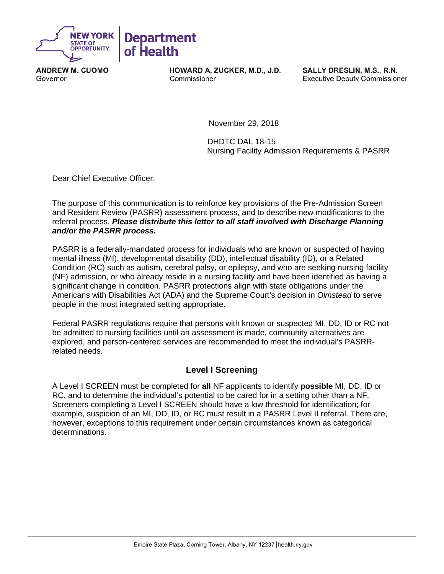

**ANDREW M. CUOMO** Governor

HOWARD A. ZUCKER, M.D., J.D. Commissioner

SALLY DRESLIN, M.S., R.N. **Executive Deputy Commissioner** 

November 29, 2018

 DHDTC DAL 18-15 Nursing Facility Admission Requirements & PASRR

Dear Chief Executive Officer:

The purpose of this communication is to reinforce key provisions of the Pre-Admission Screen and Resident Review (PASRR) assessment process, and to describe new modifications to the referral process. *Please distribute this letter to all staff involved with Discharge Planning and/or the PASRR process.* 

PASRR is a federally-mandated process for individuals who are known or suspected of having mental illness (MI), developmental disability (DD), intellectual disability (ID), or a Related Condition (RC) such as autism, cerebral palsy, or epilepsy, and who are seeking nursing facility (NF) admission, or who already reside in a nursing facility and have been identified as having a significant change in condition. PASRR protections align with state obligations under the Americans with Disabilities Act (ADA) and the Supreme Court's decision in *Olmstead* to serve people in the most integrated setting appropriate.

Federal PASRR regulations require that persons with known or suspected MI, DD, ID or RC not be admitted to nursing facilities until an assessment is made, community alternatives are explored, and person-centered services are recommended to meet the individual's PASRRrelated needs.

### **Level I Screening**

A Level I SCREEN must be completed for **all** NF applicants to identify **possible** MI, DD, ID or RC, and to determine the individual's potential to be cared for in a setting other than a NF. Screeners completing a Level I SCREEN should have a low threshold for identification; for example, suspicion of an MI, DD, ID, or RC must result in a PASRR Level II referral. There are, however, exceptions to this requirement under certain circumstances known as categorical determinations.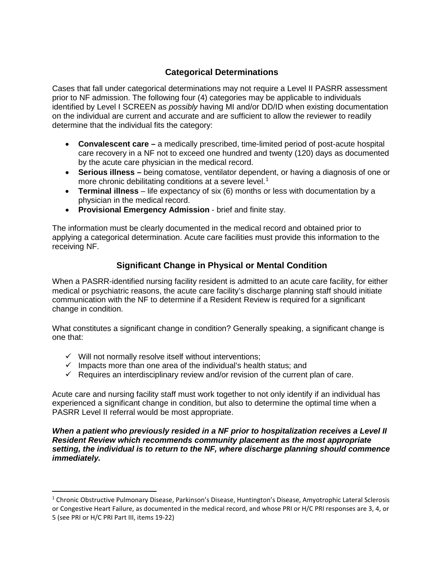# **Categorical Determinations**

Cases that fall under categorical determinations may not require a Level II PASRR assessment prior to NF admission. The following four (4) categories may be applicable to individuals identified by Level I SCREEN as *possibly* having MI and/or DD/ID when existing documentation on the individual are current and accurate and are sufficient to allow the reviewer to readily determine that the individual fits the category:

- **Convalescent care –** a medically prescribed, time-limited period of post-acute hospital care recovery in a NF not to exceed one hundred and twenty (120) days as documented by the acute care physician in the medical record.
- **Serious illness –** being comatose, ventilator dependent, or having a diagnosis of one or more chronic debilitating conditions at a severe level.<sup>[1](#page-1-0)</sup>
- **Terminal illness** life expectancy of six (6) months or less with documentation by a physician in the medical record.
- **Provisional Emergency Admission**  brief and finite stay.

The information must be clearly documented in the medical record and obtained prior to applying a categorical determination. Acute care facilities must provide this information to the receiving NF.

# **Significant Change in Physical or Mental Condition**

When a PASRR-identified nursing facility resident is admitted to an acute care facility, for either medical or psychiatric reasons, the acute care facility's discharge planning staff should initiate communication with the NF to determine if a Resident Review is required for a significant change in condition.

What constitutes a significant change in condition? Generally speaking, a significant change is one that:

- $\checkmark$  Will not normally resolve itself without interventions;
- $\checkmark$  Impacts more than one area of the individual's health status; and
- $\checkmark$  Requires an interdisciplinary review and/or revision of the current plan of care.

Acute care and nursing facility staff must work together to not only identify if an individual has experienced a significant change in condition, but also to determine the optimal time when a PASRR Level II referral would be most appropriate.

*When a patient who previously resided in a NF prior to hospitalization receives a Level II Resident Review which recommends community placement as the most appropriate setting, the individual is to return to the NF, where discharge planning should commence immediately.* 

<span id="page-1-0"></span><sup>&</sup>lt;sup>1</sup> Chronic Obstructive Pulmonary Disease, Parkinson's Disease, Huntington's Disease, Amyotrophic Lateral Sclerosis or Congestive Heart Failure, as documented in the medical record, and whose PRI or H/C PRI responses are 3, 4, or 5 (see PRI or H/C PRI Part III, items 19-22)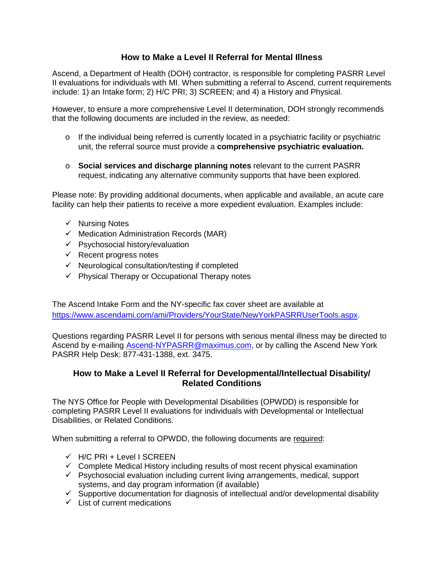## **How to Make a Level II Referral for Mental Illness**

Ascend, a Department of Health (DOH) contractor, is responsible for completing PASRR Level II evaluations for individuals with MI. When submitting a referral to Ascend, current requirements include: 1) an Intake form; 2) H/C PRI; 3) SCREEN; and 4) a History and Physical.

However, to ensure a more comprehensive Level II determination, DOH strongly recommends that the following documents are included in the review, as needed:

- $\circ$  If the individual being referred is currently located in a psychiatric facility or psychiatric unit, the referral source must provide a **comprehensive psychiatric evaluation.**
- o **Social services and discharge planning notes** relevant to the current PASRR request, indicating any alternative community supports that have been explored.

Please note: By providing additional documents, when applicable and available, an acute care facility can help their patients to receive a more expedient evaluation. Examples include:

- $\checkmark$  Nursing Notes
- $\checkmark$  Medication Administration Records (MAR)
- $\checkmark$  Psychosocial history/evaluation
- $\checkmark$  Recent progress notes
- $\checkmark$  Neurological consultation/testing if completed
- $\checkmark$  Physical Therapy or Occupational Therapy notes

The Ascend Intake Form and the NY-specific fax cover sheet are available at [https://www.ascendami.com/ami/Providers/YourState/NewYorkPASRRUserTools.aspx.](https://www.ascendami.com/ami/Providers/YourState/NewYorkPASRRUserTools.aspx)

Questions regarding PASRR Level II for persons with serious mental illness may be directed to Ascend by e-mailing [Ascend-NYPASRR@maximus.com,](mailto:Ascend-NYPASRR@maximus.com) or by calling the Ascend New York PASRR Help Desk: 877-431-1388, ext. 3475.

### **How to Make a Level II Referral for Developmental/Intellectual Disability/ Related Conditions**

The NYS Office for People with Developmental Disabilities (OPWDD) is responsible for completing PASRR Level II evaluations for individuals with Developmental or Intellectual Disabilities, or Related Conditions.

When submitting a referral to OPWDD, the following documents are required:

- $\checkmark$  H/C PRI + Level I SCREEN
- $\checkmark$  Complete Medical History including results of most recent physical examination
- $\checkmark$  Psychosocial evaluation including current living arrangements, medical, support systems, and day program information (if available)
- $\checkmark$  Supportive documentation for diagnosis of intellectual and/or developmental disability
- $\checkmark$  List of current medications